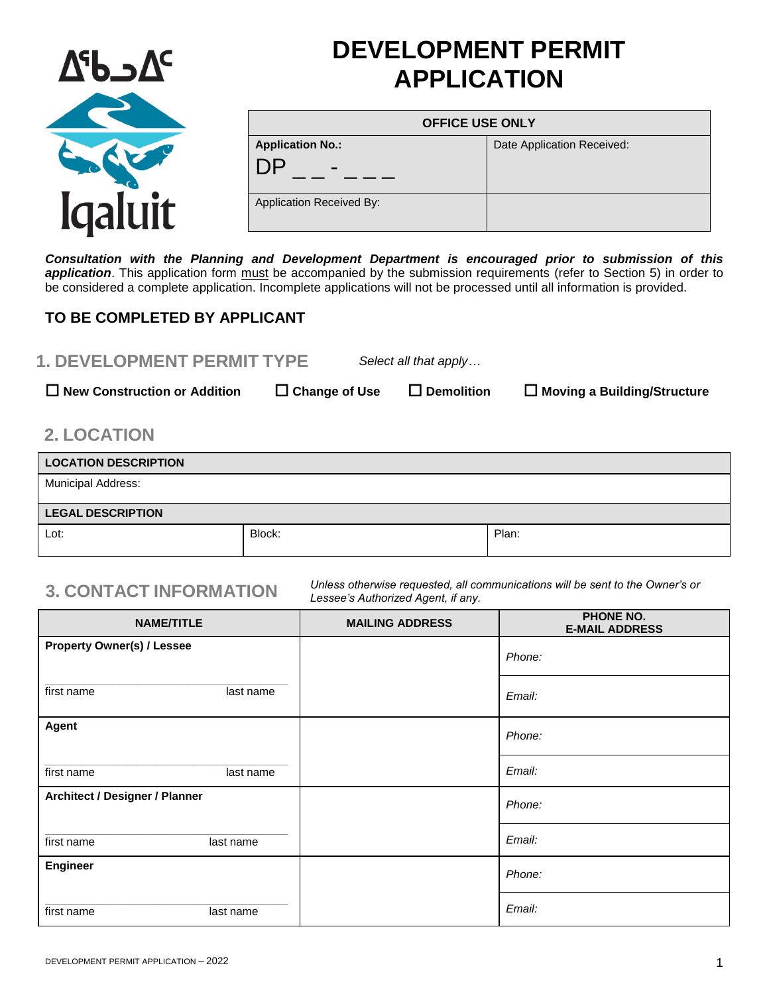

# **DEVELOPMENT PERMIT APPLICATION**

| <b>OFFICE USE ONLY</b>   |                            |  |
|--------------------------|----------------------------|--|
| <b>Application No.:</b>  | Date Application Received: |  |
|                          |                            |  |
| Application Received By: |                            |  |

*Consultation with the Planning and Development Department is encouraged prior to submission of this*  application. This application form must be accompanied by the submission requirements (refer to Section 5) in order to be considered a complete application. Incomplete applications will not be processed until all information is provided.

### **TO BE COMPLETED BY APPLICANT**

| <b>1. DEVELOPMENT PERMIT TYPE</b>   |                      | Select all that apply |                               |
|-------------------------------------|----------------------|-----------------------|-------------------------------|
| $\Box$ New Construction or Addition | $\Box$ Change of Use | $\square$ Demolition  | □ Moving a Building/Structure |

## **2. LOCATION**

| <b>LOCATION DESCRIPTION</b> |        |       |
|-----------------------------|--------|-------|
| <b>Municipal Address:</b>   |        |       |
| <b>LEGAL DESCRIPTION</b>    |        |       |
| Lot:                        | Block: | Plan: |

**3. CONTACT INFORMATION** *Unless otherwise requested, all communications will be sent to the Owner's or Lessee's Authorized Agent, if any.*

| <b>NAME/TITLE</b>                 |           | <b>MAILING ADDRESS</b> | <b>PHONE NO.</b><br><b>E-MAIL ADDRESS</b> |
|-----------------------------------|-----------|------------------------|-------------------------------------------|
| <b>Property Owner(s) / Lessee</b> |           |                        | Phone:                                    |
| first name                        | last name |                        | Email:                                    |
| Agent                             |           |                        | Phone:                                    |
| first name                        | last name |                        | Email:                                    |
| Architect / Designer / Planner    |           |                        | Phone:                                    |
| first name                        | last name |                        | Email:                                    |
| Engineer                          |           |                        | Phone:                                    |
| first name                        | last name |                        | Email:                                    |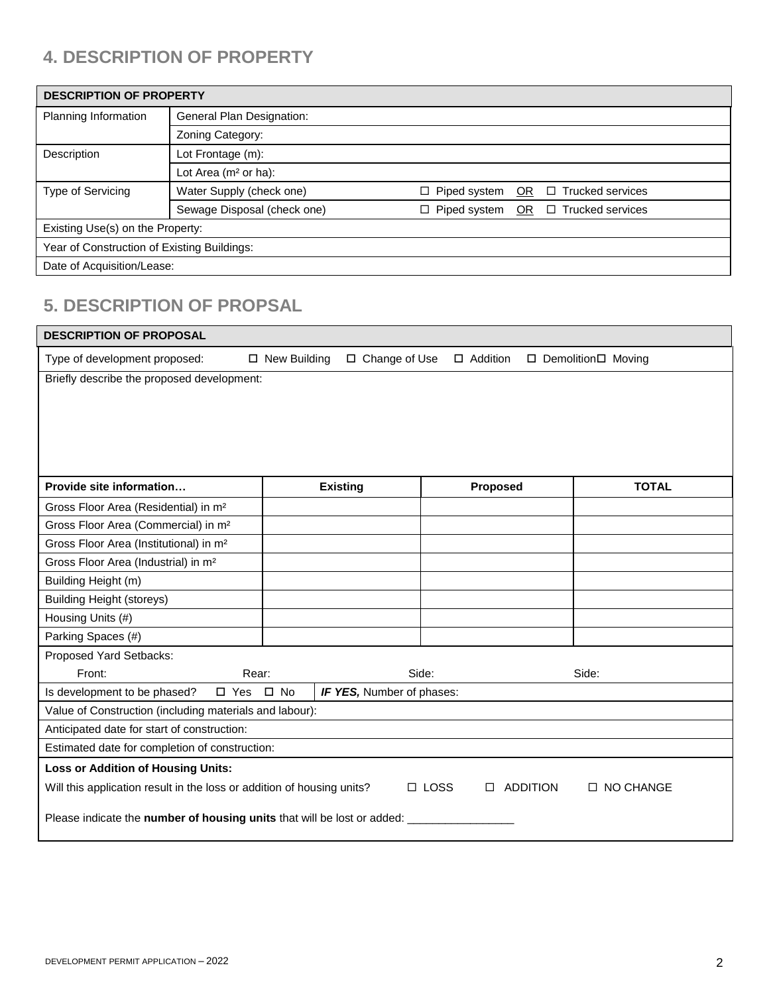# **4. DESCRIPTION OF PROPERTY**

| <b>DESCRIPTION OF PROPERTY</b>              |                             |                                                                       |  |  |
|---------------------------------------------|-----------------------------|-----------------------------------------------------------------------|--|--|
| Planning Information                        | General Plan Designation:   |                                                                       |  |  |
|                                             | Zoning Category:            |                                                                       |  |  |
| Description                                 | Lot Frontage (m):           |                                                                       |  |  |
|                                             | Lot Area ( $m2$ or ha):     |                                                                       |  |  |
| Type of Servicing                           | Water Supply (check one)    | $\Box$ Trucked services<br>$\Box$ Piped system<br>OR.                 |  |  |
|                                             | Sewage Disposal (check one) | <b>Trucked services</b><br>$\Box$ Piped system<br><b>OR</b><br>$\Box$ |  |  |
| Existing Use(s) on the Property:            |                             |                                                                       |  |  |
| Year of Construction of Existing Buildings: |                             |                                                                       |  |  |
| Date of Acquisition/Lease:                  |                             |                                                                       |  |  |

# **5. DESCRIPTION OF PROPSAL**

| <b>DESCRIPTION OF PROPOSAL</b>                                                                                               |                     |                 |                 |  |                      |
|------------------------------------------------------------------------------------------------------------------------------|---------------------|-----------------|-----------------|--|----------------------|
| Type of development proposed:                                                                                                | $\Box$ New Building | □ Change of Use | $\Box$ Addition |  | □ Demolition□ Moving |
| Briefly describe the proposed development:                                                                                   |                     |                 |                 |  |                      |
|                                                                                                                              |                     |                 |                 |  |                      |
|                                                                                                                              |                     |                 |                 |  |                      |
|                                                                                                                              |                     |                 |                 |  |                      |
|                                                                                                                              |                     |                 |                 |  |                      |
| Provide site information                                                                                                     |                     | <b>Existing</b> | Proposed        |  | <b>TOTAL</b>         |
| Gross Floor Area (Residential) in m <sup>2</sup>                                                                             |                     |                 |                 |  |                      |
| Gross Floor Area (Commercial) in m <sup>2</sup>                                                                              |                     |                 |                 |  |                      |
| Gross Floor Area (Institutional) in m <sup>2</sup>                                                                           |                     |                 |                 |  |                      |
| Gross Floor Area (Industrial) in m <sup>2</sup>                                                                              |                     |                 |                 |  |                      |
| Building Height (m)                                                                                                          |                     |                 |                 |  |                      |
| <b>Building Height (storeys)</b>                                                                                             |                     |                 |                 |  |                      |
| Housing Units (#)                                                                                                            |                     |                 |                 |  |                      |
| Parking Spaces (#)                                                                                                           |                     |                 |                 |  |                      |
| Proposed Yard Setbacks:                                                                                                      |                     |                 |                 |  |                      |
| Front:<br>Rear:                                                                                                              |                     | Side:           |                 |  | Side:                |
| Is development to be phased?<br>$\square$ Yes<br>$\square$ No<br>IF YES, Number of phases:                                   |                     |                 |                 |  |                      |
| Value of Construction (including materials and labour):                                                                      |                     |                 |                 |  |                      |
| Anticipated date for start of construction:                                                                                  |                     |                 |                 |  |                      |
| Estimated date for completion of construction:                                                                               |                     |                 |                 |  |                      |
| <b>Loss or Addition of Housing Units:</b>                                                                                    |                     |                 |                 |  |                      |
| Will this application result in the loss or addition of housing units?<br>$\Box$ LOSS<br>$\Box$ ADDITION<br>$\Box$ NO CHANGE |                     |                 |                 |  |                      |
| Please indicate the number of housing units that will be lost or added: _                                                    |                     |                 |                 |  |                      |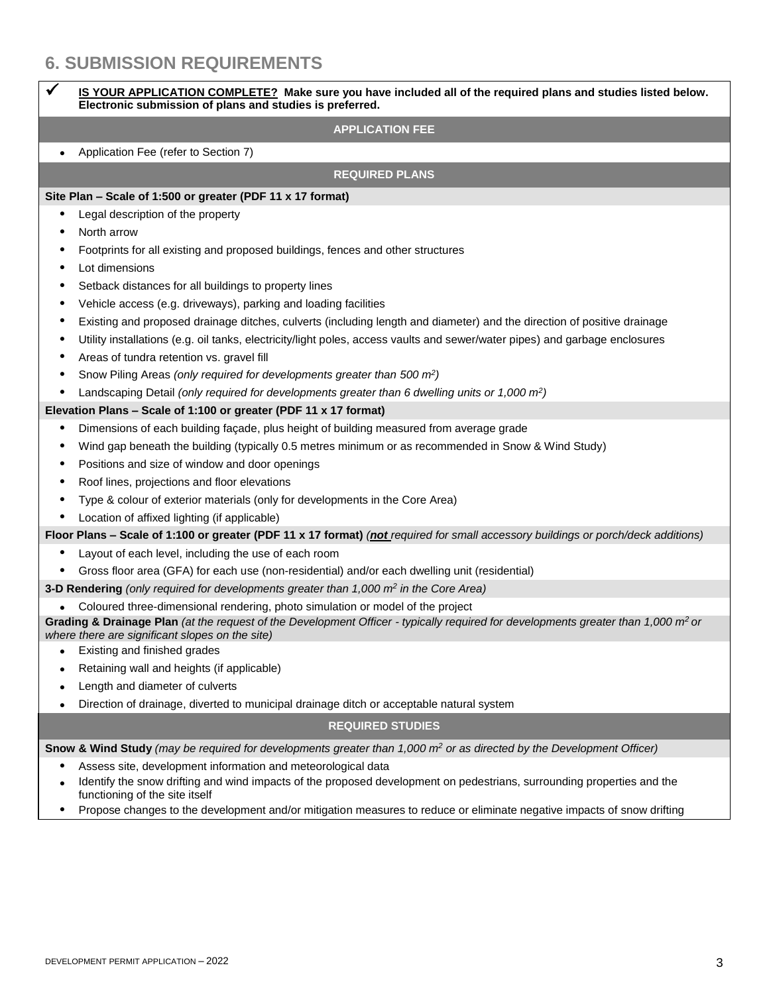# **6. SUBMISSION REQUIREMENTS**

|           | IS YOUR APPLICATION COMPLETE? Make sure you have included all of the required plans and studies listed below.<br>Electronic submission of plans and studies is preferred.                                                |  |  |
|-----------|--------------------------------------------------------------------------------------------------------------------------------------------------------------------------------------------------------------------------|--|--|
|           | <b>APPLICATION FEE</b>                                                                                                                                                                                                   |  |  |
| $\bullet$ | Application Fee (refer to Section 7)                                                                                                                                                                                     |  |  |
|           | <b>REQUIRED PLANS</b>                                                                                                                                                                                                    |  |  |
|           | Site Plan - Scale of 1:500 or greater (PDF 11 x 17 format)                                                                                                                                                               |  |  |
| ٠         | Legal description of the property                                                                                                                                                                                        |  |  |
| ٠         | North arrow                                                                                                                                                                                                              |  |  |
| ٠         | Footprints for all existing and proposed buildings, fences and other structures                                                                                                                                          |  |  |
| ٠         | Lot dimensions                                                                                                                                                                                                           |  |  |
| ٠         | Setback distances for all buildings to property lines                                                                                                                                                                    |  |  |
| ٠         | Vehicle access (e.g. driveways), parking and loading facilities                                                                                                                                                          |  |  |
| ٠         | Existing and proposed drainage ditches, culverts (including length and diameter) and the direction of positive drainage                                                                                                  |  |  |
| ٠         | Utility installations (e.g. oil tanks, electricity/light poles, access vaults and sewer/water pipes) and garbage enclosures                                                                                              |  |  |
| ٠         | Areas of tundra retention vs. gravel fill                                                                                                                                                                                |  |  |
| ٠         | Snow Piling Areas (only required for developments greater than 500 m <sup>2</sup> )                                                                                                                                      |  |  |
| ٠         | Landscaping Detail (only required for developments greater than 6 dwelling units or 1,000 m <sup>2</sup> )                                                                                                               |  |  |
|           | Elevation Plans - Scale of 1:100 or greater (PDF 11 x 17 format)                                                                                                                                                         |  |  |
| ٠         | Dimensions of each building façade, plus height of building measured from average grade                                                                                                                                  |  |  |
| ٠         | Wind gap beneath the building (typically 0.5 metres minimum or as recommended in Snow & Wind Study)                                                                                                                      |  |  |
| ٠         | Positions and size of window and door openings                                                                                                                                                                           |  |  |
| ٠         | Roof lines, projections and floor elevations                                                                                                                                                                             |  |  |
| ٠         | Type & colour of exterior materials (only for developments in the Core Area)                                                                                                                                             |  |  |
| ٠         | Location of affixed lighting (if applicable)                                                                                                                                                                             |  |  |
|           | Floor Plans - Scale of 1:100 or greater (PDF 11 x 17 format) (not required for small accessory buildings or porch/deck additions)                                                                                        |  |  |
| ٠         | Layout of each level, including the use of each room                                                                                                                                                                     |  |  |
| $\bullet$ | Gross floor area (GFA) for each use (non-residential) and/or each dwelling unit (residential)                                                                                                                            |  |  |
|           | 3-D Rendering (only required for developments greater than 1,000 m <sup>2</sup> in the Core Area)                                                                                                                        |  |  |
|           | Coloured three-dimensional rendering, photo simulation or model of the project                                                                                                                                           |  |  |
|           | Grading & Drainage Plan (at the request of the Development Officer - typically required for developments greater than 1,000 $m^2$ or<br>where there are significant slopes on the site)                                  |  |  |
| $\bullet$ | Existing and finished grades                                                                                                                                                                                             |  |  |
|           | Retaining wall and heights (if applicable)                                                                                                                                                                               |  |  |
|           | Length and diameter of culverts                                                                                                                                                                                          |  |  |
| ٠         | Direction of drainage, diverted to municipal drainage ditch or acceptable natural system                                                                                                                                 |  |  |
|           | <b>REQUIRED STUDIES</b>                                                                                                                                                                                                  |  |  |
|           | Snow & Wind Study (may be required for developments greater than 1,000 m <sup>2</sup> or as directed by the Development Officer)                                                                                         |  |  |
|           | Assess site, development information and meteorological data<br>Identify the snow drifting and wind impacts of the proposed development on pedestrians, surrounding properties and the<br>functioning of the site itself |  |  |

Propose changes to the development and/or mitigation measures to reduce or eliminate negative impacts of snow drifting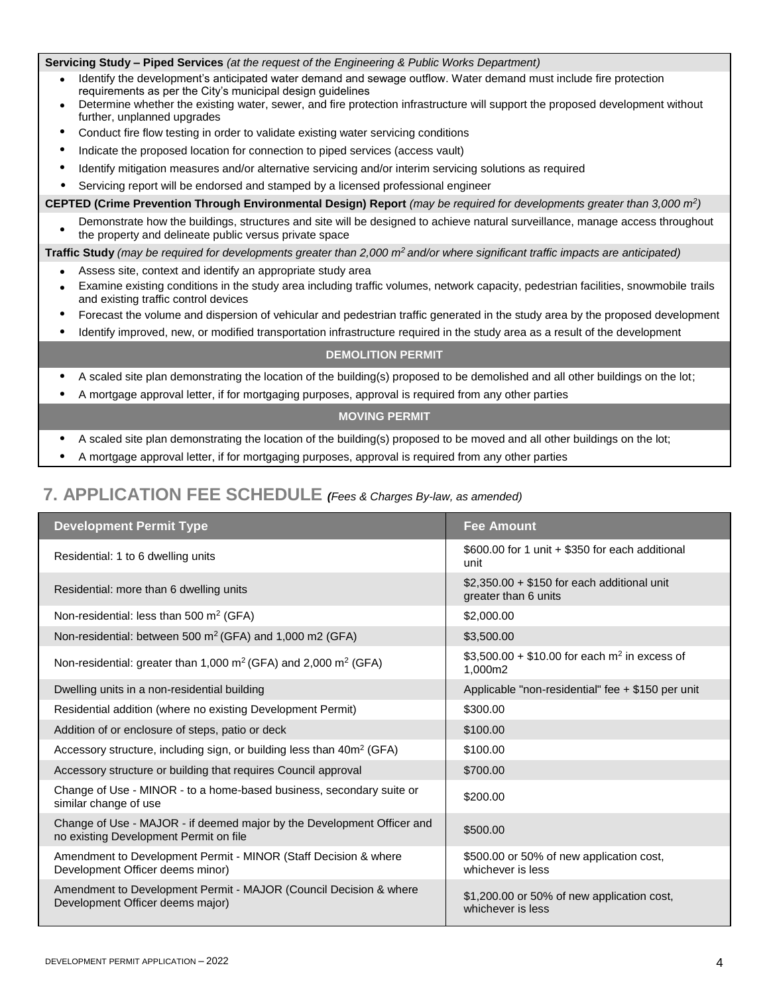#### **Servicing Study – Piped Services** *(at the request of the Engineering & Public Works Department)*

- Identify the development's anticipated water demand and sewage outflow. Water demand must include fire protection requirements as per the City's municipal design guidelines
- Determine whether the existing water, sewer, and fire protection infrastructure will support the proposed development without further, unplanned upgrades
- Conduct fire flow testing in order to validate existing water servicing conditions
- Indicate the proposed location for connection to piped services (access vault)
- Identify mitigation measures and/or alternative servicing and/or interim servicing solutions as required
- Servicing report will be endorsed and stamped by a licensed professional engineer

**CEPTED (Crime Prevention Through Environmental Design) Report** *(may be required for developments greater than 3,000 m<sup>2</sup> )*

 $\bullet$ Demonstrate how the buildings, structures and site will be designed to achieve natural surveillance, manage access throughout the property and delineate public versus private space

**Traffic Study** *(may be required for developments greater than 2,000 m<sup>2</sup>and/or where significant traffic impacts are anticipated)*

- Assess site, context and identify an appropriate study area
- Examine existing conditions in the study area including traffic volumes, network capacity, pedestrian facilities, snowmobile trails and existing traffic control devices
- Forecast the volume and dispersion of vehicular and pedestrian traffic generated in the study area by the proposed development
- Identify improved, new, or modified transportation infrastructure required in the study area as a result of the development

#### **DEMOLITION PERMIT**

- A scaled site plan demonstrating the location of the building(s) proposed to be demolished and all other buildings on the lot;
- A mortgage approval letter, if for mortgaging purposes, approval is required from any other parties

### **MOVING PERMIT**

- A scaled site plan demonstrating the location of the building(s) proposed to be moved and all other buildings on the lot;
- A mortgage approval letter, if for mortgaging purposes, approval is required from any other parties

### **7. APPLICATION FEE SCHEDULE** *(Fees & Charges By-law, as amended)*

| <b>Development Permit Type</b>                                                                                   | <b>Fee Amount</b>                                                   |
|------------------------------------------------------------------------------------------------------------------|---------------------------------------------------------------------|
| Residential: 1 to 6 dwelling units                                                                               | \$600.00 for 1 unit + \$350 for each additional<br>unit             |
| Residential: more than 6 dwelling units                                                                          | $$2,350.00 + $150$ for each additional unit<br>greater than 6 units |
| Non-residential: less than 500 $m2$ (GFA)                                                                        | \$2,000.00                                                          |
| Non-residential: between 500 m <sup>2</sup> (GFA) and 1,000 m2 (GFA)                                             | \$3,500.00                                                          |
| Non-residential: greater than 1,000 $m^2$ (GFA) and 2,000 $m^2$ (GFA)                                            | \$3,500.00 + \$10.00 for each $m^2$ in excess of<br>1,000m2         |
| Dwelling units in a non-residential building                                                                     | Applicable "non-residential" fee + \$150 per unit                   |
| Residential addition (where no existing Development Permit)                                                      | \$300.00                                                            |
| Addition of or enclosure of steps, patio or deck                                                                 | \$100.00                                                            |
| Accessory structure, including sign, or building less than 40m <sup>2</sup> (GFA)                                | \$100.00                                                            |
| Accessory structure or building that requires Council approval                                                   | \$700.00                                                            |
| Change of Use - MINOR - to a home-based business, secondary suite or<br>similar change of use                    | \$200.00                                                            |
| Change of Use - MAJOR - if deemed major by the Development Officer and<br>no existing Development Permit on file | \$500.00                                                            |
| Amendment to Development Permit - MINOR (Staff Decision & where<br>Development Officer deems minor)              | \$500.00 or 50% of new application cost,<br>whichever is less       |
| Amendment to Development Permit - MAJOR (Council Decision & where<br>Development Officer deems major)            | \$1,200.00 or 50% of new application cost,<br>whichever is less     |